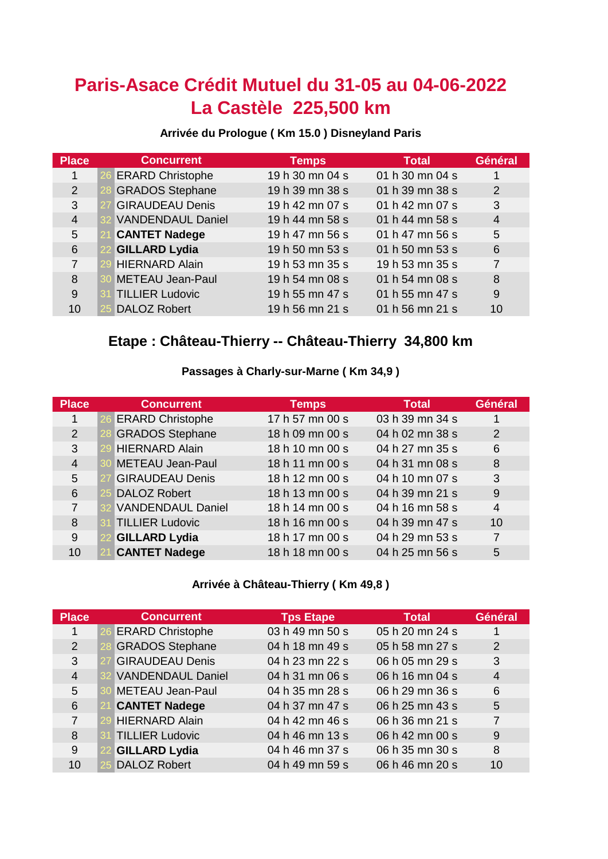# **Paris-Asace Crédit Mutuel du 31-05 au 04-06-2022 La Castèle 225,500 km**

### **Arrivée du Prologue ( Km 15.0 ) Disneyland Paris**

| <b>Place</b>   | <b>Concurrent</b>        | <b>Temps</b>    | <b>Total</b>    | Général        |
|----------------|--------------------------|-----------------|-----------------|----------------|
| 1              | <b>ERARD Christophe</b>  | 19 h 30 mn 04 s | 01 h 30 mn 04 s |                |
| 2              | <b>GRADOS Stephane</b>   | 19 h 39 mn 38 s | 01 h 39 mn 38 s | 2              |
| 3              | <b>GIRAUDEAU Denis</b>   | 19 h 42 mn 07 s | 01 h 42 mn 07 s | 3              |
| $\overline{4}$ | <b>VANDENDAUL Daniel</b> | 19 h 44 mn 58 s | 01 h 44 mn 58 s | $\overline{4}$ |
| 5              | <b>CANTET Nadege</b>     | 19 h 47 mn 56 s | 01 h 47 mn 56 s | 5              |
| 6              | <b>GILLARD Lydia</b>     | 19 h 50 mn 53 s | 01 h 50 mn 53 s | 6              |
| $\overline{7}$ | <b>HIERNARD Alain</b>    | 19 h 53 mn 35 s | 19 h 53 mn 35 s | $\overline{7}$ |
| 8              | <b>METEAU Jean-Paul</b>  | 19 h 54 mn 08 s | 01 h 54 mn 08 s | 8              |
| 9              | <b>TILLIER Ludovic</b>   | 19 h 55 mn 47 s | 01 h 55 mn 47 s | 9              |
| 10             | <b>DALOZ Robert</b>      | 19 h 56 mn 21 s | 01 h 56 mn 21 s | 10             |

## **Etape : Château-Thierry -- Château-Thierry 34,800 km**

## **Passages à Charly-sur-Marne ( Km 34,9 )**

| <b>Place</b>   | <b>Concurrent</b>        | <b>Temps</b>    | <b>Total</b>    | Général        |
|----------------|--------------------------|-----------------|-----------------|----------------|
| 1              | <b>ERARD Christophe</b>  | 17 h 57 mn 00 s | 03 h 39 mn 34 s | 1              |
| 2              | <b>GRADOS Stephane</b>   | 18 h 09 mn 00 s | 04 h 02 mn 38 s | $\overline{2}$ |
| 3              | <b>HIERNARD Alain</b>    | 18 h 10 mn 00 s | 04 h 27 mn 35 s | 6              |
| $\overline{4}$ | <b>METEAU Jean-Paul</b>  | 18 h 11 mn 00 s | 04 h 31 mn 08 s | 8              |
| 5              | <b>GIRAUDEAU Denis</b>   | 18 h 12 mn 00 s | 04 h 10 mn 07 s | 3              |
| 6              | <b>DALOZ Robert</b>      | 18 h 13 mn 00 s | 04 h 39 mn 21 s | 9              |
| $\overline{7}$ | <b>VANDENDAUL Daniel</b> | 18 h 14 mn 00 s | 04 h 16 mn 58 s | 4              |
| 8              | <b>TILLIER Ludovic</b>   | 18 h 16 mn 00 s | 04 h 39 mn 47 s | 10             |
| 9              | <b>GILLARD Lydia</b>     | 18 h 17 mn 00 s | 04 h 29 mn 53 s | $\overline{7}$ |
| 10             | <b>CANTET Nadege</b>     | 18 h 18 mn 00 s | 04 h 25 mn 56 s | 5              |

### **Arrivée à Château-Thierry ( Km 49,8 )**

| <b>Place</b>   | <b>Concurrent</b>        | <b>Tps Etape</b> | <b>Total</b>    | Général        |
|----------------|--------------------------|------------------|-----------------|----------------|
|                | <b>ERARD Christophe</b>  | 03 h 49 mn 50 s  | 05 h 20 mn 24 s |                |
| 2              | <b>GRADOS Stephane</b>   | 04 h 18 mn 49 s  | 05 h 58 mn 27 s | 2              |
| 3              | <b>GIRAUDEAU Denis</b>   | 04 h 23 mn 22 s  | 06 h 05 mn 29 s | 3              |
| $\overline{4}$ | <b>VANDENDAUL Daniel</b> | 04 h 31 mn 06 s  | 06 h 16 mn 04 s | $\overline{4}$ |
| 5              | <b>METEAU Jean-Paul</b>  | 04 h 35 mn 28 s  | 06 h 29 mn 36 s | 6              |
| 6              | <b>CANTET Nadege</b>     | 04 h 37 mn 47 s  | 06 h 25 mn 43 s | 5              |
| $\overline{7}$ | <b>HIERNARD Alain</b>    | 04 h 42 mn 46 s  | 06 h 36 mn 21 s | $\overline{7}$ |
| 8              | <b>TILLIER Ludovic</b>   | 04 h 46 mn 13 s  | 06 h 42 mn 00 s | 9              |
| 9              | <b>GILLARD Lydia</b>     | 04 h 46 mn 37 s  | 06 h 35 mn 30 s | 8              |
| 10             | <b>DALOZ Robert</b>      | 04 h 49 mn 59 s  | 06 h 46 mn 20 s | 10             |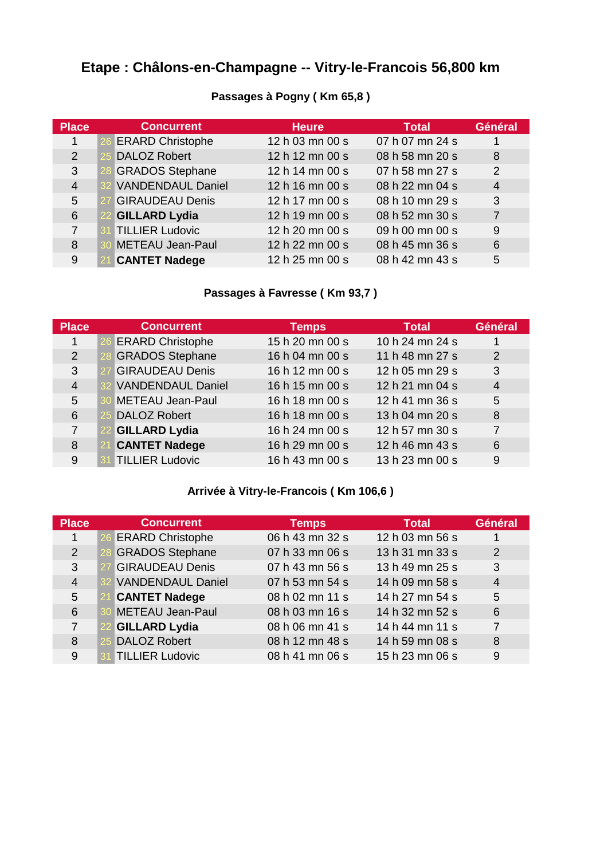# **Etape : Châlons-en-Champagne -- Vitry-le-Francois 56,800 km**

| <b>Place</b>  | <b>Concurrent</b>        | <b>Heure</b>    | <b>Total</b>    | Général        |
|---------------|--------------------------|-----------------|-----------------|----------------|
| 1             | <b>ERARD Christophe</b>  | 12 h 03 mn 00 s | 07 h 07 mn 24 s |                |
| $\mathcal{P}$ | <b>DALOZ Robert</b>      | 12 h 12 mn 00 s | 08 h 58 mn 20 s | 8              |
| 3             | <b>GRADOS Stephane</b>   | 12 h 14 mn 00 s | 07 h 58 mn 27 s | 2              |
| 4             | <b>VANDENDAUL Daniel</b> | 12 h 16 mn 00 s | 08 h 22 mn 04 s | $\overline{4}$ |
| 5             | <b>GIRAUDEAU Denis</b>   | 12 h 17 mn 00 s | 08 h 10 mn 29 s | 3              |
| 6             | <b>GILLARD Lydia</b>     | 12 h 19 mn 00 s | 08 h 52 mn 30 s | $\overline{7}$ |
| 7             | <b>TILLIER Ludovic</b>   | 12 h 20 mn 00 s | 09 h 00 mn 00 s | 9              |
| 8             | <b>METEAU Jean-Paul</b>  | 12 h 22 mn 00 s | 08 h 45 mn 36 s | 6              |
| 9             | <b>CANTET Nadege</b>     | 12 h 25 mn 00 s | 08 h 42 mn 43 s | 5              |

### **Passages à Pogny ( Km 65,8 )**

## **Passages à Favresse ( Km 93,7 )**

| <b>Place</b>   | <b>Concurrent</b>        | <b>Temps</b>    | <b>Total</b>    | Général        |
|----------------|--------------------------|-----------------|-----------------|----------------|
| 1              | <b>ERARD Christophe</b>  | 15 h 20 mn 00 s | 10 h 24 mn 24 s | 1              |
| 2              | <b>GRADOS Stephane</b>   | 16 h 04 mn 00 s | 11 h 48 mn 27 s | 2              |
| 3              | <b>GIRAUDEAU Denis</b>   | 16 h 12 mn 00 s | 12 h 05 mn 29 s | 3              |
| $\overline{4}$ | <b>VANDENDAUL Daniel</b> | 16 h 15 mn 00 s | 12 h 21 mn 04 s | $\overline{4}$ |
| 5              | <b>METEAU Jean-Paul</b>  | 16 h 18 mn 00 s | 12 h 41 mn 36 s | 5              |
| 6              | <b>DALOZ Robert</b>      | 16 h 18 mn 00 s | 13 h 04 mn 20 s | 8              |
| $\overline{7}$ | <b>GILLARD Lydia</b>     | 16 h 24 mn 00 s | 12 h 57 mn 30 s | $\overline{7}$ |
| 8              | <b>CANTET Nadege</b>     | 16 h 29 mn 00 s | 12 h 46 mn 43 s | 6              |
| 9              | <b>TILLIER Ludovic</b>   | 16 h 43 mn 00 s | 13 h 23 mn 00 s | 9              |

## **Arrivée à Vitry-le-Francois ( Km 106,6 )**

| Place          | <b>Concurrent</b>        | <b>Temps</b>    | <b>Total</b>    | Général        |
|----------------|--------------------------|-----------------|-----------------|----------------|
| 1              | <b>ERARD Christophe</b>  | 06 h 43 mn 32 s | 12 h 03 mn 56 s | 1              |
| 2              | <b>GRADOS Stephane</b>   | 07 h 33 mn 06 s | 13 h 31 mn 33 s | 2              |
| 3              | <b>GIRAUDEAU Denis</b>   | 07 h 43 mn 56 s | 13 h 49 mn 25 s | 3              |
| $\overline{4}$ | <b>VANDENDAUL Daniel</b> | 07 h 53 mn 54 s | 14 h 09 mn 58 s | $\overline{4}$ |
| 5              | <b>CANTET Nadege</b>     | 08 h 02 mn 11 s | 14 h 27 mn 54 s | 5              |
| 6              | <b>METEAU Jean-Paul</b>  | 08 h 03 mn 16 s | 14 h 32 mn 52 s | 6              |
| 7              | <b>GILLARD Lydia</b>     | 08 h 06 mn 41 s | 14 h 44 mn 11 s | $\overline{7}$ |
| 8              | <b>DALOZ Robert</b>      | 08 h 12 mn 48 s | 14 h 59 mn 08 s | 8              |
| 9              | <b>TILLIER Ludovic</b>   | 08 h 41 mn 06 s | 15 h 23 mn 06 s | 9              |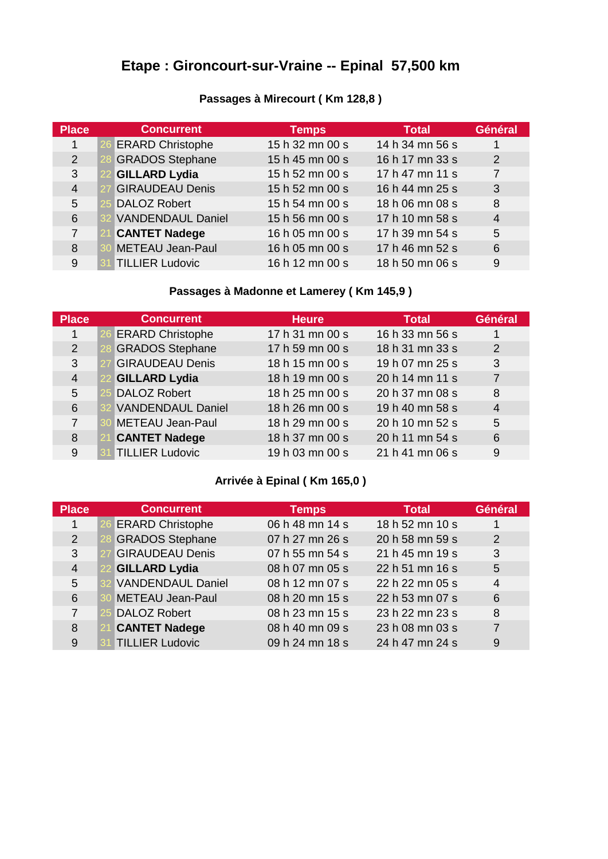# **Etape : Gironcourt-sur-Vraine -- Epinal 57,500 km**

| Passages à Mirecourt (Km 128,8) |  |  |  |  |  |  |  |
|---------------------------------|--|--|--|--|--|--|--|
|---------------------------------|--|--|--|--|--|--|--|

| <b>Place</b>   | <b>Concurrent</b>        | <b>Temps</b>    | Total           | Général        |
|----------------|--------------------------|-----------------|-----------------|----------------|
| 1              | <b>ERARD Christophe</b>  | 15 h 32 mn 00 s | 14 h 34 mn 56 s | 1              |
| 2              | <b>GRADOS Stephane</b>   | 15 h 45 mn 00 s | 16 h 17 mn 33 s | 2              |
| 3              | <b>GILLARD Lydia</b>     | 15 h 52 mn 00 s | 17 h 47 mn 11 s | $\overline{7}$ |
| $\overline{4}$ | <b>GIRAUDEAU Denis</b>   | 15 h 52 mn 00 s | 16 h 44 mn 25 s | 3              |
| 5              | <b>DALOZ Robert</b>      | 15 h 54 mn 00 s | 18 h 06 mn 08 s | 8              |
| 6              | <b>VANDENDAUL Daniel</b> | 15 h 56 mn 00 s | 17 h 10 mn 58 s | $\overline{4}$ |
| 7              | <b>CANTET Nadege</b>     | 16 h 05 mn 00 s | 17 h 39 mn 54 s | 5              |
| 8              | <b>METEAU Jean-Paul</b>  | 16 h 05 mn 00 s | 17 h 46 mn 52 s | 6              |
| 9              | <b>TILLIER Ludovic</b>   | 16 h 12 mn 00 s | 18 h 50 mn 06 s | 9              |

## **Passages à Madonne et Lamerey ( Km 145,9 )**

| <b>Place</b>   | <b>Concurrent</b>        | <b>Heure</b>    | <b>Total</b>    | Général        |
|----------------|--------------------------|-----------------|-----------------|----------------|
| 1              | <b>ERARD Christophe</b>  | 17 h 31 mn 00 s | 16 h 33 mn 56 s | 1              |
| 2              | <b>GRADOS Stephane</b>   | 17 h 59 mn 00 s | 18 h 31 mn 33 s | 2              |
| 3              | <b>GIRAUDEAU Denis</b>   | 18 h 15 mn 00 s | 19 h 07 mn 25 s | 3              |
| $\overline{4}$ | <b>GILLARD Lydia</b>     | 18 h 19 mn 00 s | 20 h 14 mn 11 s | $\overline{7}$ |
| 5              | <b>DALOZ Robert</b>      | 18 h 25 mn 00 s | 20 h 37 mn 08 s | 8              |
| 6              | <b>VANDENDAUL Daniel</b> | 18 h 26 mn 00 s | 19 h 40 mn 58 s | $\overline{4}$ |
| $\overline{7}$ | <b>METEAU Jean-Paul</b>  | 18 h 29 mn 00 s | 20 h 10 mn 52 s | 5              |
| 8              | <b>CANTET Nadege</b>     | 18 h 37 mn 00 s | 20 h 11 mn 54 s | 6              |
| 9              | <b>TILLIER Ludovic</b>   | 19 h 03 mn 00 s | 21 h 41 mn 06 s | 9              |

## **Arrivée à Epinal ( Km 165,0 )**

| <b>Place</b>   | <b>Concurrent</b>        | <b>Temps</b>    | <b>Total</b>    | Général        |
|----------------|--------------------------|-----------------|-----------------|----------------|
| 1              | <b>ERARD Christophe</b>  | 06 h 48 mn 14 s | 18 h 52 mn 10 s |                |
| 2              | <b>GRADOS Stephane</b>   | 07 h 27 mn 26 s | 20 h 58 mn 59 s | 2              |
| 3              | <b>GIRAUDEAU Denis</b>   | 07 h 55 mn 54 s | 21 h 45 mn 19 s | 3              |
| $\overline{4}$ | <b>GILLARD Lydia</b>     | 08 h 07 mn 05 s | 22 h 51 mn 16 s | 5              |
| 5              | <b>VANDENDAUL Daniel</b> | 08 h 12 mn 07 s | 22 h 22 mn 05 s | $\overline{4}$ |
| 6              | <b>METEAU Jean-Paul</b>  | 08 h 20 mn 15 s | 22 h 53 mn 07 s | 6              |
| 7              | <b>DALOZ Robert</b>      | 08 h 23 mn 15 s | 23 h 22 mn 23 s | 8              |
| 8              | <b>CANTET Nadege</b>     | 08 h 40 mn 09 s | 23 h 08 mn 03 s | $\overline{7}$ |
| 9              | <b>TILLIER Ludovic</b>   | 09 h 24 mn 18 s | 24 h 47 mn 24 s | 9              |